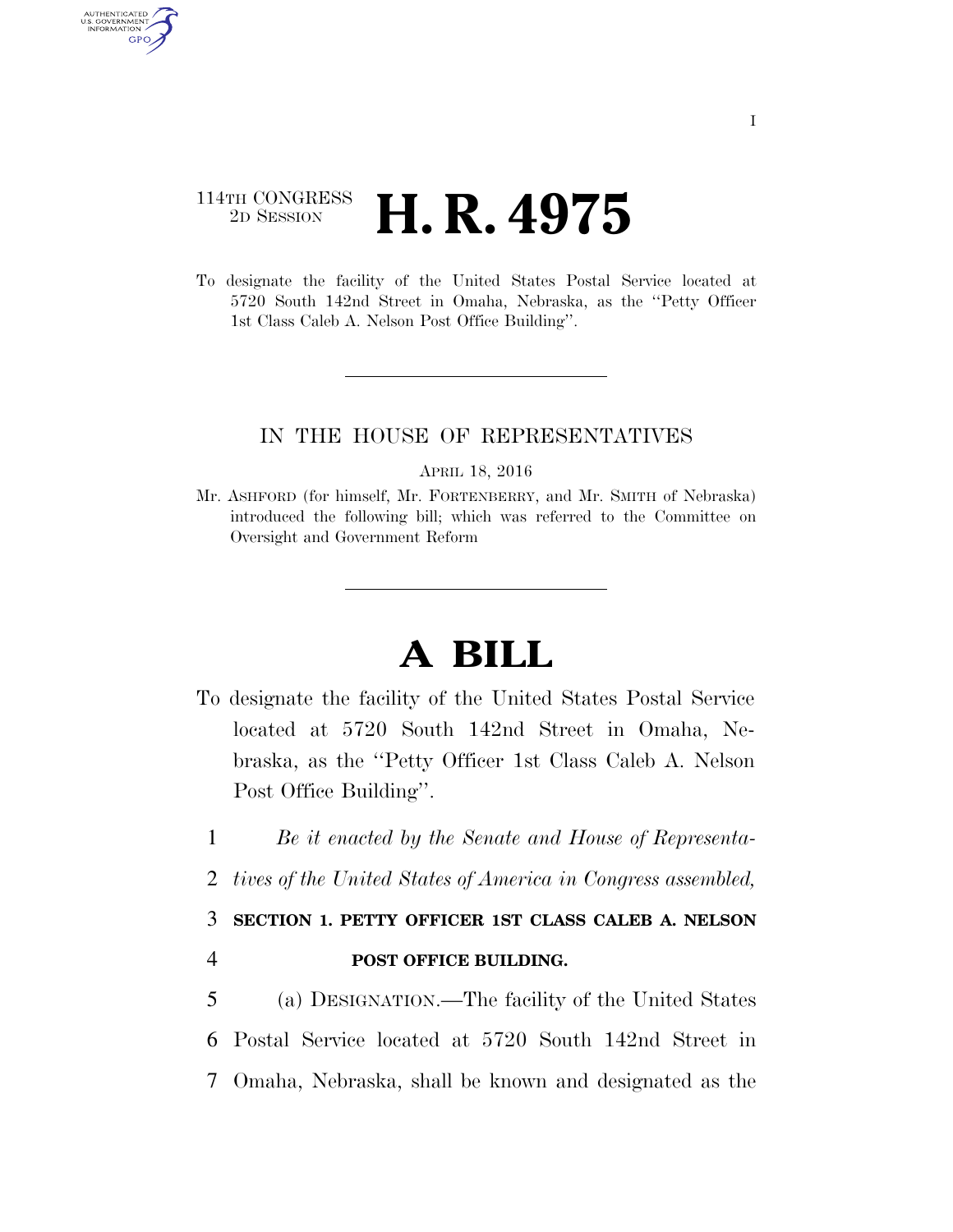## 114TH CONGRESS <sup>2D SESSION</sup> **H. R. 4975**

AUTHENTICATED U.S. GOVERNMENT GPO

> To designate the facility of the United States Postal Service located at 5720 South 142nd Street in Omaha, Nebraska, as the ''Petty Officer 1st Class Caleb A. Nelson Post Office Building''.

### IN THE HOUSE OF REPRESENTATIVES

#### APRIL 18, 2016

Mr. ASHFORD (for himself, Mr. FORTENBERRY, and Mr. SMITH of Nebraska) introduced the following bill; which was referred to the Committee on Oversight and Government Reform

# **A BILL**

- To designate the facility of the United States Postal Service located at 5720 South 142nd Street in Omaha, Nebraska, as the ''Petty Officer 1st Class Caleb A. Nelson Post Office Building''.
	- 1 *Be it enacted by the Senate and House of Representa-*
	- 2 *tives of the United States of America in Congress assembled,*

# 3 **SECTION 1. PETTY OFFICER 1ST CLASS CALEB A. NELSON**

### 4 **POST OFFICE BUILDING.**

5 (a) DESIGNATION.—The facility of the United States 6 Postal Service located at 5720 South 142nd Street in 7 Omaha, Nebraska, shall be known and designated as the